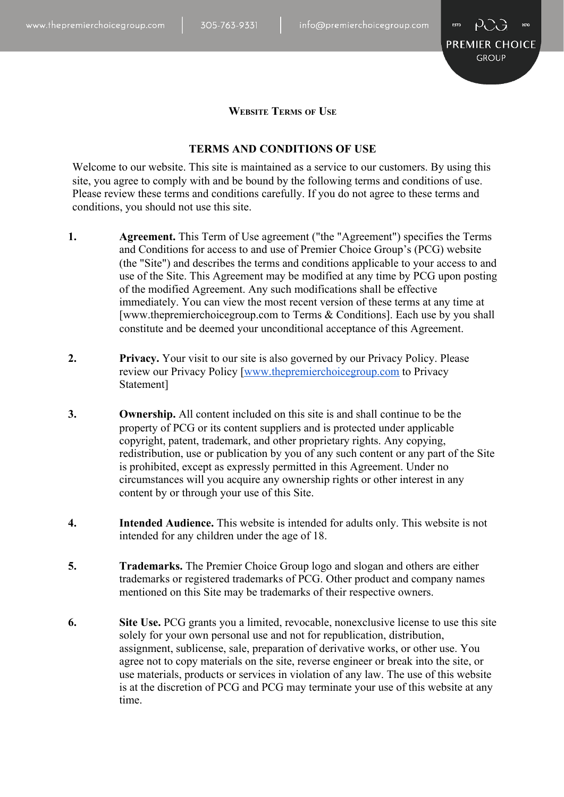

**WEBSITE TERMS OF USE**

## **TERMS AND CONDITIONS OF USE**

Welcome to our website. This site is maintained as a service to our customers. By using this site, you agree to comply with and be bound by the following terms and conditions of use. Please review these terms and conditions carefully. If you do not agree to these terms and conditions, you should not use this site.

- **1. Agreement.** This Term of Use agreement ("the "Agreement") specifies the Terms and Conditions for access to and use of Premier Choice Group's (PCG) website (the "Site") and describes the terms and conditions applicable to your access to and use of the Site. This Agreement may be modified at any time by PCG upon posting of the modified Agreement. Any such modifications shall be effective immediately. You can view the most recent version of these terms at any time at [www.thepremierchoicegroup.com to Terms & Conditions]. Each use by you shall constitute and be deemed your unconditional acceptance of this Agreement.
- **2. Privacy.** Your visit to our site is also governed by our Privacy Policy. Please review our Privacy Policy [\[www.thepremierchoicegroup.com](http://www.thepremierchoicegroup.com/) to Privacy Statement]
- **3. Ownership.** All content included on this site is and shall continue to be the property of PCG or its content suppliers and is protected under applicable copyright, patent, trademark, and other proprietary rights. Any copying, redistribution, use or publication by you of any such content or any part of the Site is prohibited, except as expressly permitted in this Agreement. Under no circumstances will you acquire any ownership rights or other interest in any content by or through your use of this Site.
- **4. Intended Audience.** This website is intended for adults only. This website is not intended for any children under the age of 18.
- **5. Trademarks.** The Premier Choice Group logo and slogan and others are either trademarks or registered trademarks of PCG. Other product and company names mentioned on this Site may be trademarks of their respective owners.
- **6. Site Use.** PCG grants you a limited, revocable, nonexclusive license to use this site solely for your own personal use and not for republication, distribution, assignment, sublicense, sale, preparation of derivative works, or other use. You agree not to copy materials on the site, reverse engineer or break into the site, or use materials, products or services in violation of any law. The use of this website is at the discretion of PCG and PCG may terminate your use of this website at any time.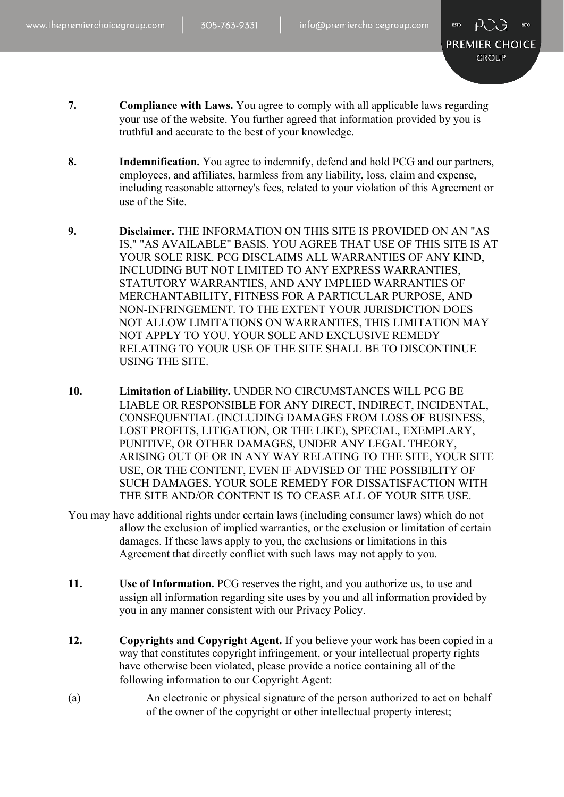

- **7. Compliance with Laws.** You agree to comply with all applicable laws regarding your use of the website. You further agreed that information provided by you is truthful and accurate to the best of your knowledge.
- **8. Indemnification.** You agree to indemnify, defend and hold PCG and our partners, employees, and affiliates, harmless from any liability, loss, claim and expense, including reasonable attorney's fees, related to your violation of this Agreement or use of the Site.
- **9. Disclaimer.** THE INFORMATION ON THIS SITE IS PROVIDED ON AN "AS IS," "AS AVAILABLE" BASIS. YOU AGREE THAT USE OF THIS SITE IS AT YOUR SOLE RISK. PCG DISCLAIMS ALL WARRANTIES OF ANY KIND, INCLUDING BUT NOT LIMITED TO ANY EXPRESS WARRANTIES, STATUTORY WARRANTIES, AND ANY IMPLIED WARRANTIES OF MERCHANTABILITY, FITNESS FOR A PARTICULAR PURPOSE, AND NON-INFRINGEMENT. TO THE EXTENT YOUR JURISDICTION DOES NOT ALLOW LIMITATIONS ON WARRANTIES, THIS LIMITATION MAY NOT APPLY TO YOU. YOUR SOLE AND EXCLUSIVE REMEDY RELATING TO YOUR USE OF THE SITE SHALL BE TO DISCONTINUE USING THE SITE.
- **10. Limitation of Liability.** UNDER NO CIRCUMSTANCES WILL PCG BE LIABLE OR RESPONSIBLE FOR ANY DIRECT, INDIRECT, INCIDENTAL, CONSEQUENTIAL (INCLUDING DAMAGES FROM LOSS OF BUSINESS, LOST PROFITS, LITIGATION, OR THE LIKE), SPECIAL, EXEMPLARY, PUNITIVE, OR OTHER DAMAGES, UNDER ANY LEGAL THEORY, ARISING OUT OF OR IN ANY WAY RELATING TO THE SITE, YOUR SITE USE, OR THE CONTENT, EVEN IF ADVISED OF THE POSSIBILITY OF SUCH DAMAGES. YOUR SOLE REMEDY FOR DISSATISFACTION WITH THE SITE AND/OR CONTENT IS TO CEASE ALL OF YOUR SITE USE.
- You may have additional rights under certain laws (including consumer laws) which do not allow the exclusion of implied warranties, or the exclusion or limitation of certain damages. If these laws apply to you, the exclusions or limitations in this Agreement that directly conflict with such laws may not apply to you.
- **11. Use of Information.** PCG reserves the right, and you authorize us, to use and assign all information regarding site uses by you and all information provided by you in any manner consistent with our Privacy Policy.
- **12. Copyrights and Copyright Agent.** If you believe your work has been copied in a way that constitutes copyright infringement, or your intellectual property rights have otherwise been violated, please provide a notice containing all of the following information to our Copyright Agent:
- (a) An electronic or physical signature of the person authorized to act on behalf of the owner of the copyright or other intellectual property interest;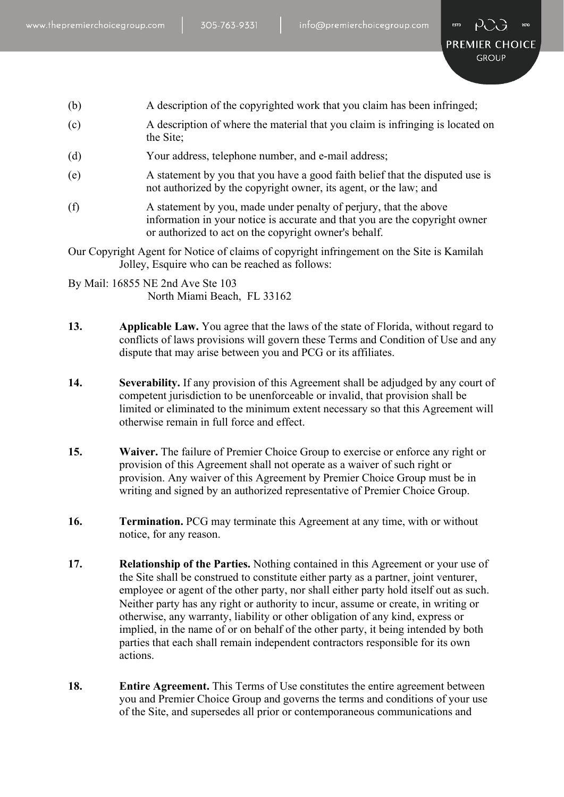- (b) A description of the copyrighted work that you claim has been infringed;
- (c) A description of where the material that you claim is infringing is located on the Site;
- (d) Your address, telephone number, and e-mail address;
- (e) A statement by you that you have a good faith belief that the disputed use is not authorized by the copyright owner, its agent, or the law; and
- (f) A statement by you, made under penalty of perjury, that the above information in your notice is accurate and that you are the copyright owner or authorized to act on the copyright owner's behalf.
- Our Copyright Agent for Notice of claims of copyright infringement on the Site is Kamilah Jolley, Esquire who can be reached as follows:

By Mail: 16855 NE 2nd Ave Ste 103 North Miami Beach, FL 33162

- **13. Applicable Law.** You agree that the laws of the state of Florida, without regard to conflicts of laws provisions will govern these Terms and Condition of Use and any dispute that may arise between you and PCG or its affiliates.
- **14. Severability.** If any provision of this Agreement shall be adjudged by any court of competent jurisdiction to be unenforceable or invalid, that provision shall be limited or eliminated to the minimum extent necessary so that this Agreement will otherwise remain in full force and effect.
- **15. Waiver.** The failure of Premier Choice Group to exercise or enforce any right or provision of this Agreement shall not operate as a waiver of such right or provision. Any waiver of this Agreement by Premier Choice Group must be in writing and signed by an authorized representative of Premier Choice Group.
- **16. Termination.** PCG may terminate this Agreement at any time, with or without notice, for any reason.
- **17. Relationship of the Parties.** Nothing contained in this Agreement or your use of the Site shall be construed to constitute either party as a partner, joint venturer, employee or agent of the other party, nor shall either party hold itself out as such. Neither party has any right or authority to incur, assume or create, in writing or otherwise, any warranty, liability or other obligation of any kind, express or implied, in the name of or on behalf of the other party, it being intended by both parties that each shall remain independent contractors responsible for its own actions.
- **18. Entire Agreement.** This Terms of Use constitutes the entire agreement between you and Premier Choice Group and governs the terms and conditions of your use of the Site, and supersedes all prior or contemporaneous communications and